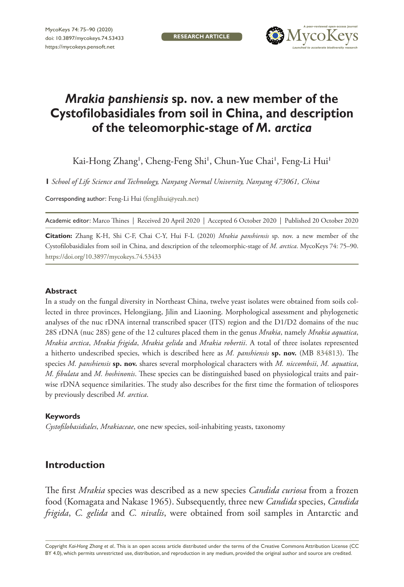**research article**



# *Mrakia panshiensis* **sp. nov. a new member of the Cystofilobasidiales from soil in China, and description of the teleomorphic-stage of** *M. arctica*

Kai-Hong Zhang', Cheng-Feng Shi', Chun-Yue Chai', Feng-Li Hui'

**1** *School of Life Science and Technology, Nanyang Normal University, Nanyang 473061, China*

Corresponding author: Feng-Li Hui [\(fenglihui@yeah.net\)](mailto:fenglihui@yeah.net)

Academic editor: Marco Thines | Received 20 April 2020 | Accepted 6 October 2020 | Published 20 October 2020

**Citation:** Zhang K-H, Shi C-F, Chai C-Y, Hui F-L (2020) *Mrakia panshiensis* sp. nov. a new member of the Cystofilobasidiales from soil in China, and description of the teleomorphic-stage of *M. arctica*. MycoKeys 74: 75–90. <https://doi.org/10.3897/mycokeys.74.53433>

#### **Abstract**

In a study on the fungal diversity in Northeast China, twelve yeast isolates were obtained from soils collected in three provinces, Helongjiang, Jilin and Liaoning. Morphological assessment and phylogenetic analyses of the nuc rDNA internal transcribed spacer (ITS) region and the D1/D2 domains of the nuc 28S rDNA (nuc 28S) gene of the 12 cultures placed them in the genus *Mrakia*, namely *Mrakia aquatica*, *Mrakia arctica*, *Mrakia frigida*, *Mrakia gelida* and *Mrakia robertii*. A total of three isolates represented a hitherto undescribed species, which is described here as *M. panshiensis* **sp. nov.** (MB [834813\)](http://www.mycobank.org/MycoTaxo.aspx?Link=T&Rec=834813). The species *M. panshiensis* **sp. nov.** shares several morphological characters with *M. niccombsii*, *M. aquatica*, *M. fibulata* and *M. hoshinonis*. These species can be distinguished based on physiological traits and pairwise rDNA sequence similarities. The study also describes for the first time the formation of teliospores by previously described *M. arctica*.

#### **Keywords**

*Cystofilobasidiales*, *Mrakiaceae*, one new species, soil-inhabiting yeasts, taxonomy

# **Introduction**

The first *Mrakia* species was described as a new species *Candida curiosa* from a frozen food (Komagata and Nakase 1965). Subsequently, three new *Candida* species, *Candida frigida*, *C. gelida* and *C. nivalis*, were obtained from soil samples in Antarctic and

Copyright *Kai-Hong Zhang et al..* This is an open access article distributed under the terms of the [Creative Commons Attribution License \(CC](http://creativecommons.org/licenses/by/4.0/)  [BY 4.0\)](http://creativecommons.org/licenses/by/4.0/), which permits unrestricted use, distribution, and reproduction in any medium, provided the original author and source are credited.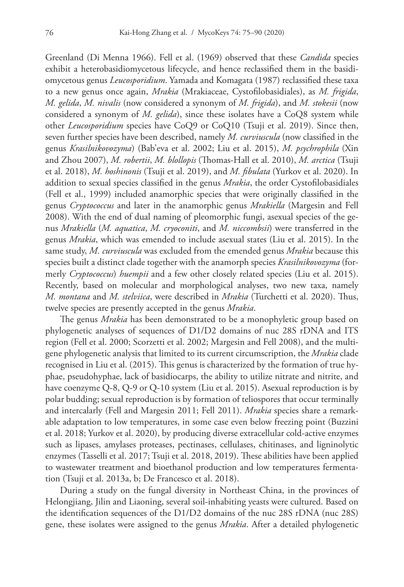Greenland (Di Menna 1966). Fell et al. (1969) observed that these *Candida* species exhibit a heterobasidiomycetous lifecycle, and hence reclassified them in the basidiomycetous genus *Leucosporidium*. Yamada and Komagata (1987) reclassified these taxa to a new genus once again, *Mrakia* (Mrakiaceae, Cystofilobasidiales), as *M. frigida*, *M. gelida*, *M. nivalis* (now considered a synonym of *M. frigida*), and *M. stokesii* (now considered a synonym of *M. gelida*), since these isolates have a CoQ8 system while other *Leucosporidium* species have CoQ9 or CoQ10 (Tsuji et al. 2019). Since then, seven further species have been described, namely *M. curviuscula* (now classified in the genus *Krasilnikovozyma*) (Bab'eva et al. 2002; Liu et al. 2015), *M. psychrophila* (Xin and Zhou 2007), *M. robertii*, *M. blollopis* (Thomas-Hall et al. 2010), *M. arctica* (Tsuji et al. 2018), *M. hoshinonis* (Tsuji et al. 2019), and *M. fibulata* (Yurkov et al. 2020). In addition to sexual species classified in the genus *Mrakia*, the order Cystofilobasidiales (Fell et al., 1999) included anamorphic species that were originally classified in the genus *Cryptococcus* and later in the anamorphic genus *Mrakiella* (Margesin and Fell 2008). With the end of dual naming of pleomorphic fungi, asexual species of the genus *Mrakiella* (*M. aquatica*, *M. cryoconiti*, and *M. niccombsii*) were transferred in the genus *Mrakia*, which was emended to include asexual states (Liu et al. 2015). In the same study, *M. curviuscula* was excluded from the emended genus *Mrakia* because this species built a distinct clade together with the anamorph species *Krasilnikovozyma* (formerly *Cryptococcus*) *huempii* and a few other closely related species (Liu et al. 2015). Recently, based on molecular and morphological analyses, two new taxa, namely *M. montana* and *M. stelviica*, were described in *Mrakia* (Turchetti et al. 2020). Thus, twelve species are presently accepted in the genus *Mrakia*.

The genus *Mrakia* has been demonstrated to be a monophyletic group based on phylogenetic analyses of sequences of D1/D2 domains of nuc 28S rDNA and ITS region (Fell et al. 2000; Scorzetti et al. 2002; Margesin and Fell 2008), and the multigene phylogenetic analysis that limited to its current circumscription, the *Mrakia* clade recognised in Liu et al. (2015). This genus is characterized by the formation of true hyphae, pseudohyphae, lack of basidiocarps, the ability to utilize nitrate and nitrite, and have coenzyme Q-8, Q-9 or Q-10 system (Liu et al. 2015). Asexual reproduction is by polar budding; sexual reproduction is by formation of teliospores that occur terminally and intercalarly (Fell and Margesin 2011; Fell 2011). *Mrakia* species share a remarkable adaptation to low temperatures, in some case even below freezing point (Buzzini et al. 2018; Yurkov et al. 2020), by producing diverse extracellular cold-active enzymes such as lipases, amylases proteases, pectinases, cellulases, chitinases, and ligninolytic enzymes (Tasselli et al. 2017; Tsuji et al. 2018, 2019). These abilities have been applied to wastewater treatment and bioethanol production and low temperatures fermentation (Tsuji et al. 2013a, b; De Francesco et al. 2018).

During a study on the fungal diversity in Northeast China, in the provinces of Helongjiang, Jilin and Liaoning, several soil-inhabiting yeasts were cultured. Based on the identification sequences of the D1/D2 domains of the nuc 28S rDNA (nuc 28S) gene, these isolates were assigned to the genus *Mrakia*. After a detailed phylogenetic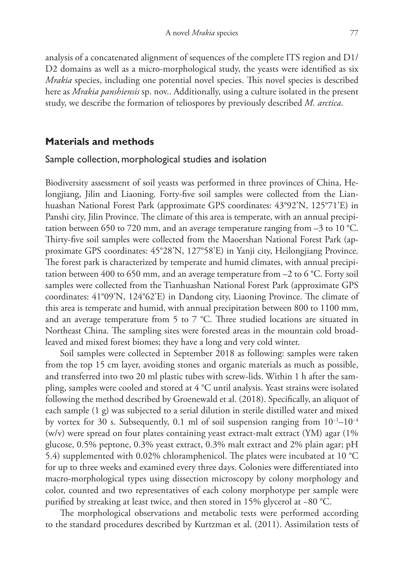analysis of a concatenated alignment of sequences of the complete ITS region and D1/ D2 domains as well as a micro-morphological study, the yeasts were identified as six *Mrakia* species, including one potential novel species. This novel species is described here as *Mrakia panshiensis* sp. nov.. Additionally, using a culture isolated in the present study, we describe the formation of teliospores by previously described *M. arctica*.

#### **Materials and methods**

#### Sample collection, morphological studies and isolation

Biodiversity assessment of soil yeasts was performed in three provinces of China, Helongjiang, Jilin and Liaoning. Forty-five soil samples were collected from the Lianhuashan National Forest Park (approximate GPS coordinates: 43°92'N, 125°71'E) in Panshi city, Jilin Province. The climate of this area is temperate, with an annual precipitation between 650 to 720 mm, and an average temperature ranging from –3 to 10 °C. Thirty-five soil samples were collected from the Maoershan National Forest Park (approximate GPS coordinates: 45°28'N, 127°58'E) in Yanji city, Heilongjiang Province. The forest park is characterized by temperate and humid climates, with annual precipitation between 400 to 650 mm, and an average temperature from –2 to 6 °C. Forty soil samples were collected from the Tianhuashan National Forest Park (approximate GPS coordinates: 41°09'N, 124°62'E) in Dandong city, Liaoning Province. The climate of this area is temperate and humid, with annual precipitation between 800 to 1100 mm, and an average temperature from 5 to 7 °C. Three studied locations are situated in Northeast China. The sampling sites were forested areas in the mountain cold broadleaved and mixed forest biomes; they have a long and very cold winter.

Soil samples were collected in September 2018 as following: samples were taken from the top 15 cm layer, avoiding stones and organic materials as much as possible, and transferred into two 20 ml plastic tubes with screw-lids. Within 1 h after the sampling, samples were cooled and stored at 4 °C until analysis. Yeast strains were isolated following the method described by Groenewald et al. (2018). Specifically, an aliquot of each sample  $(1 g)$  was subjected to a serial dilution in sterile distilled water and mixed by vortex for 30 s. Subsequently, 0.1 ml of soil suspension ranging from 10−1–10−4 (w/v) were spread on four plates containing yeast extract-malt extract (YM) agar (1% glucose, 0.5% peptone, 0.3% yeast extract, 0.3% malt extract and 2% plain agar; pH 5.4) supplemented with 0.02% chloramphenicol. The plates were incubated at 10 °C for up to three weeks and examined every three days. Colonies were differentiated into macro-morphological types using dissection microscopy by colony morphology and color, counted and two representatives of each colony morphotype per sample were purified by streaking at least twice, and then stored in 15% glycerol at −80 °C.

The morphological observations and metabolic tests were performed according to the standard procedures described by Kurtzman et al. (2011). Assimilation tests of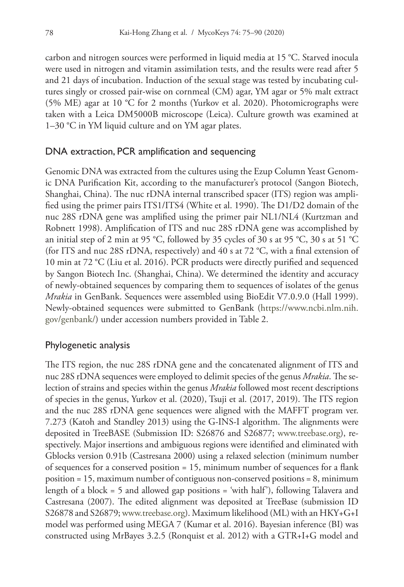carbon and nitrogen sources were performed in liquid media at 15 °C. Starved inocula were used in nitrogen and vitamin assimilation tests, and the results were read after 5 and 21 days of incubation. Induction of the sexual stage was tested by incubating cultures singly or crossed pair-wise on cornmeal (CM) agar, YM agar or 5% malt extract (5% ME) agar at 10 °C for 2 months (Yurkov et al. 2020). Photomicrographs were taken with a Leica DM5000B microscope (Leica). Culture growth was examined at 1–30 °C in YM liquid culture and on YM agar plates.

### DNA extraction, PCR amplification and sequencing

Genomic DNA was extracted from the cultures using the Ezup Column Yeast Genomic DNA Purification Kit, according to the manufacturer's protocol (Sangon Biotech, Shanghai, China). The nuc rDNA internal transcribed spacer (ITS) region was amplified using the primer pairs ITS1/ITS4 (White et al. 1990). The D1/D2 domain of the nuc 28S rDNA gene was amplified using the primer pair NL1/NL4 (Kurtzman and Robnett 1998). Amplification of ITS and nuc 28S rDNA gene was accomplished by an initial step of 2 min at 95 °C, followed by 35 cycles of 30 s at 95 °C, 30 s at 51 °C (for ITS and nuc 28S rDNA, respectively) and 40 s at 72 °C, with a final extension of 10 min at 72 °C (Liu et al. 2016). PCR products were directly purified and sequenced by Sangon Biotech Inc. (Shanghai, China). We determined the identity and accuracy of newly-obtained sequences by comparing them to sequences of isolates of the genus *Mrakia* in GenBank. Sequences were assembled using BioEdit V7.0.9.0 (Hall 1999). Newly-obtained sequences were submitted to GenBank ([https://www.ncbi.nlm.nih.](https://www.ncbi.nlm.nih.gov/genbank/) [gov/genbank/\)](https://www.ncbi.nlm.nih.gov/genbank/) under accession numbers provided in Table 2.

# Phylogenetic analysis

The ITS region, the nuc 28S rDNA gene and the concatenated alignment of ITS and nuc 28S rDNA sequences were employed to delimit species of the genus *Mrakia*. The selection of strains and species within the genus *Mrakia* followed most recent descriptions of species in the genus, Yurkov et al. (2020), Tsuji et al. (2017, 2019). The ITS region and the nuc 28S rDNA gene sequences were aligned with the MAFFT program ver. 7.273 (Katoh and Standley 2013) using the G-INS-I algorithm. The alignments were deposited in TreeBASE (Submission ID: S26876 and S26877; www.treebase.org), respectively. Major insertions and ambiguous regions were identified and eliminated with Gblocks version 0.91b (Castresana 2000) using a relaxed selection (minimum number of sequences for a conserved position = 15, minimum number of sequences for a flank position = 15, maximum number of contiguous non-conserved positions = 8, minimum length of a block = 5 and allowed gap positions = 'with half'), following Talavera and Castresana (2007). The edited alignment was deposited at TreeBase (submission ID S26878 and S26879; www.treebase.org). Maximum likelihood (ML) with an HKY+G+I model was performed using MEGA 7 (Kumar et al. 2016). Bayesian inference (BI) was constructed using MrBayes 3.2.5 (Ronquist et al. 2012) with a GTR+I+G model and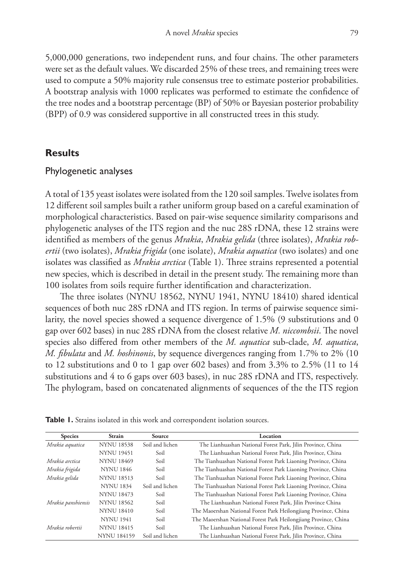5,000,000 generations, two independent runs, and four chains. The other parameters were set as the default values. We discarded 25% of these trees, and remaining trees were used to compute a 50% majority rule consensus tree to estimate posterior probabilities. A bootstrap analysis with 1000 replicates was performed to estimate the confidence of the tree nodes and a bootstrap percentage (BP) of 50% or Bayesian posterior probability (BPP) of 0.9 was considered supportive in all constructed trees in this study.

### **Results**

#### Phylogenetic analyses

A total of 135 yeast isolates were isolated from the 120 soil samples. Twelve isolates from 12 different soil samples built a rather uniform group based on a careful examination of morphological characteristics. Based on pair-wise sequence similarity comparisons and phylogenetic analyses of the ITS region and the nuc 28S rDNA, these 12 strains were identified as members of the genus *Mrakia*, *Mrakia gelida* (three isolates), *Mrakia robertii* (two isolates), *Mrakia frigida* (one isolate), *Mrakia aquatica* (two isolates) and one isolates was classified as *Mrakia arctica* (Table 1). Three strains represented a potential new species, which is described in detail in the present study. The remaining more than 100 isolates from soils require further identification and characterization.

The three isolates (NYNU 18562, NYNU 1941, NYNU 18410) shared identical sequences of both nuc 28S rDNA and ITS region. In terms of pairwise sequence similarity, the novel species showed a sequence divergence of 1.5% (9 substitutions and 0 gap over 602 bases) in nuc 28S rDNA from the closest relative *M. niccombsii*. The novel species also differed from other members of the *M. aquatica* sub-clade, *M. aquatica*, *M. fibulata* and *M. hoshinonis*, by sequence divergences ranging from 1.7% to 2% (10 to 12 substitutions and 0 to 1 gap over 602 bases) and from 3.3% to 2.5% (11 to 14 substitutions and 4 to 6 gaps over 603 bases), in nuc 28S rDNA and ITS, respectively. The phylogram, based on concatenated alignments of sequences of the the ITS region

| <b>Species</b>     | <b>Strain</b>      | Source                                                                | Location                                                        |  |  |
|--------------------|--------------------|-----------------------------------------------------------------------|-----------------------------------------------------------------|--|--|
| Mrakia aquatica    | <b>NYNU 18538</b>  | Soil and lichen                                                       | The Lianhuashan National Forest Park, Jilin Province, China     |  |  |
|                    | <b>NYNU 19451</b>  | Soil                                                                  | The Lianhuashan National Forest Park, Jilin Province, China     |  |  |
| Mrakia arctica     | <b>NYNU 18469</b>  | Soil                                                                  | The Tianhuashan National Forest Park Liaoning Province, China   |  |  |
| Mrakia frigida     | <b>NYNU 1846</b>   | Soil                                                                  | The Tianhuashan National Forest Park Liaoning Province, China   |  |  |
| Mrakia gelida      | <b>NYNU 18513</b>  | The Tianhuashan National Forest Park Liaoning Province, China<br>Soil |                                                                 |  |  |
|                    | <b>NYNU 1834</b>   | Soil and lichen                                                       | The Tianhuashan National Forest Park Liaoning Province, China   |  |  |
|                    | <b>NYNU 18473</b>  | Soil                                                                  | The Tianhuashan National Forest Park Liaoning Province, China   |  |  |
| Mrakia panshiensis | <b>NYNU 18562</b>  | Soil                                                                  | The Lianhuashan National Forest Park, Jilin Province China      |  |  |
|                    | <b>NYNU 18410</b>  | Soil                                                                  | The Maoershan National Forest Park Heilongjiang Province, China |  |  |
|                    | <b>NYNU 1941</b>   | Soil                                                                  | The Maoershan National Forest Park Heilongjiang Province, China |  |  |
| Mrakia robertii    | <b>NYNU 18415</b>  | Soil                                                                  | The Lianhuashan National Forest Park, Jilin Province, China     |  |  |
|                    | <b>NYNU 184159</b> | Soil and lichen                                                       | The Lianhuashan National Forest Park, Jilin Province, China     |  |  |

**Table 1.** Strains isolated in this work and correspondent isolation sources.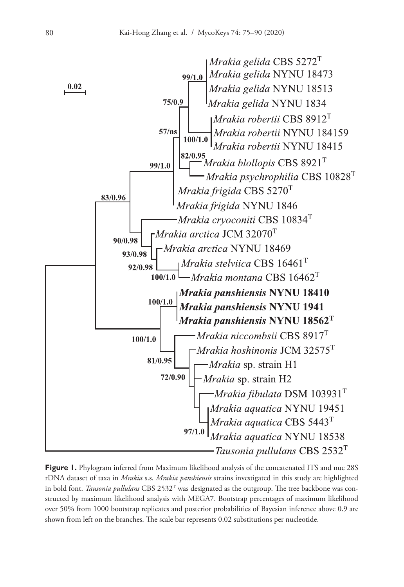

**Figure 1.** Phylogram inferred from Maximum likelihood analysis of the concatenated ITS and nuc 28S rDNA dataset of taxa in *Mrakia* s.s. *Mrakia panshiensis* strains investigated in this study are highlighted in bold font. *Tausonia pullulans* CBS 2532T was designated as the outgroup. The tree backbone was constructed by maximum likelihood analysis with MEGA7. Bootstrap percentages of maximum likelihood over 50% from 1000 bootstrap replicates and posterior probabilities of Bayesian inference above 0.9 are shown from left on the branches. The scale bar represents 0.02 substitutions per nucleotide.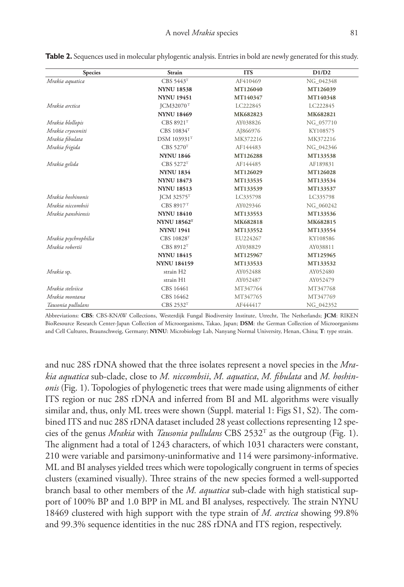| <b>Species</b>       | Strain                  | <b>ITS</b> | D1/D2     |
|----------------------|-------------------------|------------|-----------|
| Mrakia aquatica      | CBS 5443T               | AF410469   | NG 042348 |
|                      | <b>NYNU 18538</b>       | MT126040   | MT126039  |
|                      | <b>NYNU 19451</b>       | MT140347   | MT140348  |
| Mrakia arctica       | ICM32070 <sup>T</sup>   | LC222845   | LC222845  |
|                      | <b>NYNU 18469</b>       | MK682823   | MK682821  |
| Mrakia blollopis     | CBS 8921T               | AY038826   | NG 057710 |
| Mrakia cryoconiti    | CBS 10834T              | AJ866976   | KY108575  |
| Mrakia fibulata      | <b>DSM 103931T</b>      | MK372216   | MK372216  |
| Mrakia frigida       | CBS 5270T               | AF144483   | NG 042346 |
|                      | <b>NYNU 1846</b>        | MT126288   | MT133538  |
| Mrakia gelida        | CBS 5272T               | AF144485   | AF189831  |
|                      | <b>NYNU 1834</b>        | MT126029   | MT126028  |
|                      | <b>NYNU 18473</b>       | MT133535   | MT133534  |
|                      | <b>NYNU 18513</b>       | MT133539   | MT133537  |
| Mrakia hoshinonis    | <b>JCM 32575T</b>       | LC335798   | LC335798  |
| Mrakia niccombsii    | CBS 8917T               | AY029346   | NG 060242 |
| Mrakia panshiensis   | <b>NYNU 18410</b>       | MT133553   | MT133536  |
|                      | <b>NYNU 18562T</b>      | MK682818   | MK682815  |
|                      | <b>NYNU 1941</b>        | MT133552   | MT133554  |
| Mrakia psychrophilia | <b>CBS 10828T</b>       | EU224267   | KY108586  |
| Mrakia robertii      | $CBS 8912$ <sup>T</sup> | AY038829   | AY038811  |
|                      | <b>NYNU 18415</b>       | MT125967   | MT125965  |
|                      | <b>NYNU 184159</b>      | MT133533   | MT133532  |
| Mrakia sp.           | strain H <sub>2</sub>   | AY052488   | AY052480  |
|                      | strain H1               | AY052487   | AY052479  |
| Mrakia stelviica     | CBS 16461               | MT347764   | MT347768  |
| Mrakia montana       | CBS 16462               | MT347765   | MT347769  |
| Tausonia pullulans   | $CBS$ 2532 $T$          | AF444417   | NG 042352 |

**Table 2.** Sequences used in molecular phylogentic analysis. Entries in bold are newly generated for this study.

Abbreviations: **CBS**: CBS-KNAW Collections, Westerdijk Fungal Biodiversity Institute, Utrecht, The Netherlands; **JCM**: RIKEN BioResource Research Center-Japan Collection of Microorganisms, Takao, Japan; **DSM**: the German Collection of Microorganisms and Cell Cultures, Braunschweig, Germany; **NYNU**: Microbiology Lab, Nanyang Normal University, Henan, China; **T**: type strain.

and nuc 28S rDNA showed that the three isolates represent a novel species in the *Mrakia aquatica* sub-clade, close to *M. niccombsii*, *M. aquatica*, *M. fibulata* and *M. hoshinonis* (Fig. 1). Topologies of phylogenetic trees that were made using alignments of either ITS region or nuc 28S rDNA and inferred from BI and ML algorithms were visually similar and, thus, only ML trees were shown (Suppl. material 1: Figs S1, S2). The combined ITS and nuc 28S rDNA dataset included 28 yeast collections representing 12 species of the genus *Mrakia* with *Tausonia pullulans* CBS 2532T as the outgroup (Fig. 1). The alignment had a total of 1243 characters, of which 1031 characters were constant, 210 were variable and parsimony-uninformative and 114 were parsimony-informative. ML and BI analyses yielded trees which were topologically congruent in terms of species clusters (examined visually). Three strains of the new species formed a well-supported branch basal to other members of the *M. aquatica* sub-clade with high statistical support of 100% BP and 1.0 BPP in ML and BI analyses, respectively. The strain NYNU 18469 clustered with high support with the type strain of *M. arctica* showing 99.8% and 99.3% sequence identities in the nuc 28S rDNA and ITS region, respectively.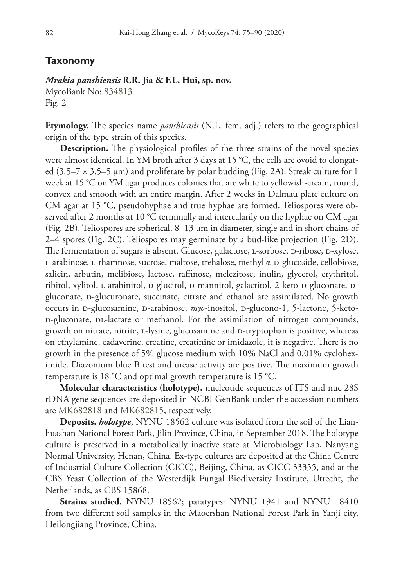### **Taxonomy**

#### *Mrakia panshiensis* **R.R. Jia & F.L. Hui, sp. nov.**

MycoBank No: [834813](http://www.mycobank.org/MycoTaxo.aspx?Link=T&Rec=834813) Fig. 2

**Etymology.** The species name *panshiensis* (N.L. fem. adj.) refers to the geographical origin of the type strain of this species.

**Description.** The physiological profiles of the three strains of the novel species were almost identical. In YM broth after 3 days at 15 °C, the cells are ovoid to elongated (3.5–7 × 3.5–5 µm) and proliferate by polar budding (Fig. 2A). Streak culture for 1 week at 15 °C on YM agar produces colonies that are white to yellowish-cream, round, convex and smooth with an entire margin. After 2 weeks in Dalmau plate culture on CM agar at 15 °C, pseudohyphae and true hyphae are formed. Teliospores were observed after 2 months at 10 °C terminally and intercalarily on the hyphae on CM agar (Fig. 2B). Teliospores are spherical, 8–13 µm in diameter, single and in short chains of 2–4 spores (Fig. 2C). Teliospores may germinate by a bud-like projection (Fig. 2D). The fermentation of sugars is absent. Glucose, galactose, L-sorbose, D-ribose, D-xylose, L-arabinose, L-rhamnose, sucrose, maltose, trehalose, methyl α-D-glucoside, cellobiose, salicin, arbutin, melibiose, lactose, raffinose, melezitose, inulin, glycerol, erythritol, ribitol, xylitol, L-arabinitol, D-glucitol, D-mannitol, galactitol, 2-keto-D-gluconate, Dgluconate, D-glucuronate, succinate, citrate and ethanol are assimilated. No growth occurs in D-glucosamine, D-arabinose,  $myo$ -inositol, D-glucono-1, 5-lactone, 5-ketod-gluconate, dl-lactate or methanol. For the assimilation of nitrogen compounds, growth on nitrate, nitrite, L-lysine, glucosamine and D-tryptophan is positive, whereas on ethylamine, cadaverine, creatine, creatinine or imidazole, it is negative. There is no growth in the presence of 5% glucose medium with 10% NaCl and 0.01% cycloheximide. Diazonium blue B test and urease activity are positive. The maximum growth temperature is 18 °C and optimal growth temperature is 15 °C.

**Molecular characteristics (holotype).** nucleotide sequences of ITS and nuc 28S rDNA gene sequences are deposited in NCBI GenBank under the accession numbers are [MK682818](http://www.ncbi.nlm.nih.gov/nuccore/MK682818) and [MK682815,](http://www.ncbi.nlm.nih.gov/nuccore/MK682815) respectively.

**Deposits.** *holotype*, NYNU 18562 culture was isolated from the soil of the Lianhuashan National Forest Park, Jilin Province, China, in September 2018. The holotype culture is preserved in a metabolically inactive state at Microbiology Lab, Nanyang Normal University, Henan, China. Ex-type cultures are deposited at the China Centre of Industrial Culture Collection (CICC), Beijing, China, as CICC 33355, and at the CBS Yeast Collection of the Westerdijk Fungal Biodiversity Institute, Utrecht, the Netherlands, as CBS 15868.

**Strains studied.** NYNU 18562; paratypes: NYNU 1941 and NYNU 18410 from two different soil samples in the Maoershan National Forest Park in Yanji city, Heilongjiang Province, China.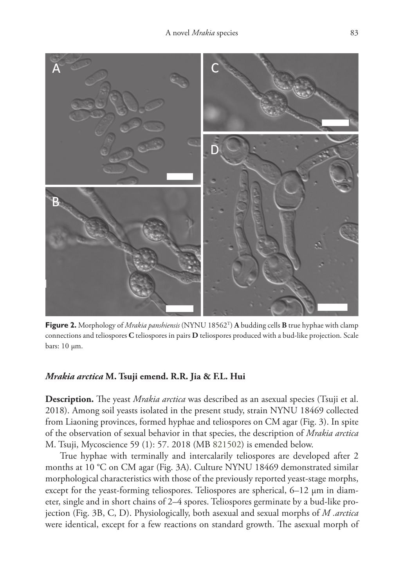

**Figure 2.** Morphology of *Mrakia panshiensis* (NYNU 18562T) **A** budding cells **B** true hyphae with clamp connections and teliospores **C** teliospores in pairs **D** teliospores produced with a bud-like projection. Scale bars:  $10 \mu m$ .

# *Mrakia arctica* **M. Tsuji emend. R.R. Jia & F.L. Hui**

**Description.** The yeast *Mrakia arctica* was described as an asexual species (Tsuji et al. 2018). Among soil yeasts isolated in the present study, strain NYNU 18469 collected from Liaoning provinces, formed hyphae and teliospores on CM agar (Fig. 3). In spite of the observation of sexual behavior in that species, the description of *Mrakia arctica* M. Tsuji, Mycoscience 59 (1): 57. 2018 (MB [821502](http://www.mycobank.org/MycoTaxo.aspx?Link=T&Rec=821502)) is emended below.

True hyphae with terminally and intercalarily teliospores are developed after 2 months at 10 °C on CM agar (Fig. 3A). Culture NYNU 18469 demonstrated similar morphological characteristics with those of the previously reported yeast-stage morphs, except for the yeast-forming teliospores. Teliospores are spherical, 6–12 µm in diameter, single and in short chains of 2–4 spores. Teliospores germinate by a bud-like projection (Fig. 3B, C, D). Physiologically, both asexual and sexual morphs of *M .arctica* were identical, except for a few reactions on standard growth. The asexual morph of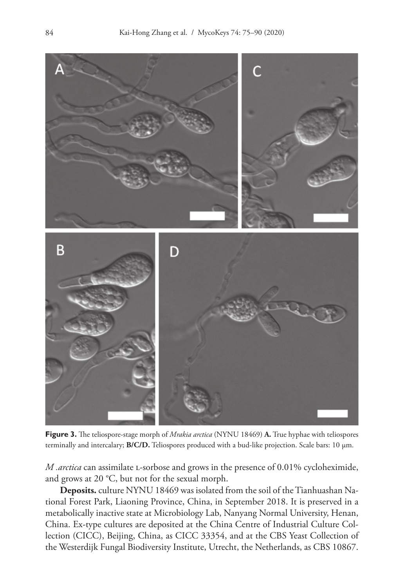

**Figure 3.** The teliospore-stage morph of *Mrakia arctica* (NYNU 18469) **A.** True hyphae with teliospores terminally and intercalary; **B/C/D.** Teliospores produced with a bud-like projection. Scale bars: 10 µm.

*M .arctica* can assimilate l-sorbose and grows in the presence of 0.01% cycloheximide, and grows at 20 °C, but not for the sexual morph.

**Deposits.** culture NYNU 18469 was isolated from the soil of the Tianhuashan National Forest Park, Liaoning Province, China, in September 2018. It is preserved in a metabolically inactive state at Microbiology Lab, Nanyang Normal University, Henan, China. Ex-type cultures are deposited at the China Centre of Industrial Culture Collection (CICC), Beijing, China, as CICC 33354, and at the CBS Yeast Collection of the Westerdijk Fungal Biodiversity Institute, Utrecht, the Netherlands, as CBS 10867.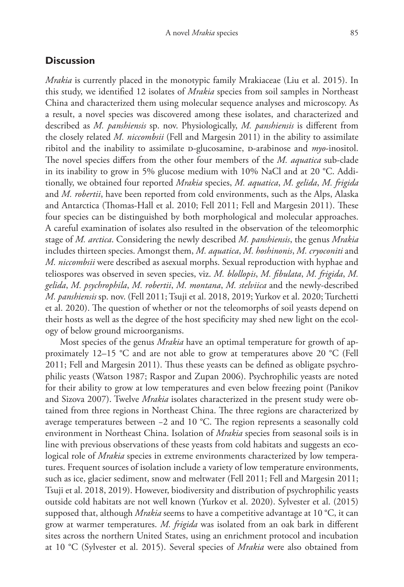# **Discussion**

*Mrakia* is currently placed in the monotypic family Mrakiaceae (Liu et al. 2015). In this study, we identified 12 isolates of *Mrakia* species from soil samples in Northeast China and characterized them using molecular sequence analyses and microscopy. As a result, a novel species was discovered among these isolates, and characterized and described as *M. panshiensis* sp. nov. Physiologically, *M. panshiensis* is different from the closely related *M. niccombsii* (Fell and Margesin 2011) in the ability to assimilate ribitol and the inability to assimilate D-glucosamine, D-arabinose and *myo*-inositol. The novel species differs from the other four members of the *M. aquatica* sub-clade in its inability to grow in 5% glucose medium with 10% NaCl and at 20 °C. Additionally, we obtained four reported *Mrakia* species, *M. aquatica*, *M. gelida*, *M. frigida* and *M. robertii*, have been reported from cold environments, such as the Alps, Alaska and Antarctica (Thomas-Hall et al. 2010; Fell 2011; Fell and Margesin 2011). These four species can be distinguished by both morphological and molecular approaches. A careful examination of isolates also resulted in the observation of the teleomorphic stage of *M. arctica*. Considering the newly described *M. panshiensis*, the genus *Mrakia* includes thirteen species. Amongst them, *M. aquatica*, *M. hoshinonis*, *M. cryoconiti* and *M. niccombsii* were described as asexual morphs. Sexual reproduction with hyphae and teliospores was observed in seven species, viz. *M. blollopis*, *M. fibulata*, *M. frigida*, *M. gelida*, *M. psychrophila*, *M. robertii*, *M. montana*, *M. stelviica* and the newly-described *M. panshiensis* sp. nov. (Fell 2011; Tsuji et al. 2018, 2019; Yurkov et al. 2020; Turchetti et al. 2020). The question of whether or not the teleomorphs of soil yeasts depend on their hosts as well as the degree of the host specificity may shed new light on the ecology of below ground microorganisms.

Most species of the genus *Mrakia* have an optimal temperature for growth of approximately 12–15 °C and are not able to grow at temperatures above 20 °C (Fell 2011; Fell and Margesin 2011). Thus these yeasts can be defined as obligate psychrophilic yeasts (Watson 1987; Raspor and Zupan 2006). Psychrophilic yeasts are noted for their ability to grow at low temperatures and even below freezing point (Panikov and Sizova 2007). Twelve *Mrakia* isolates characterized in the present study were obtained from three regions in Northeast China. The three regions are characterized by average temperatures between −2 and 10 °C. The region represents a seasonally cold environment in Northeast China. Isolation of *Mrakia* species from seasonal soils is in line with previous observations of these yeasts from cold habitats and suggests an ecological role of *Mrakia* species in extreme environments characterized by low temperatures. Frequent sources of isolation include a variety of low temperature environments, such as ice, glacier sediment, snow and meltwater (Fell 2011; Fell and Margesin 2011; Tsuji et al. 2018, 2019). However, biodiversity and distribution of psychrophilic yeasts outside cold habitats are not well known (Yurkov et al. 2020). Sylvester et al. (2015) supposed that, although *Mrakia* seems to have a competitive advantage at 10 °C, it can grow at warmer temperatures. *M. frigida* was isolated from an oak bark in different sites across the northern United States, using an enrichment protocol and incubation at 10 °C (Sylvester et al. 2015). Several species of *Mrakia* were also obtained from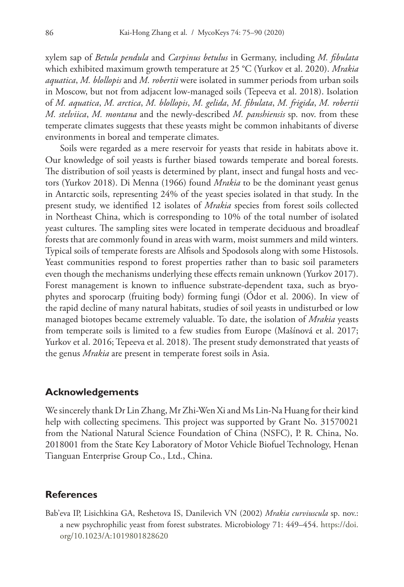xylem sap of *Betula pendula* and *Carpinus betulus* in Germany, including *M. fibulata* which exhibited maximum growth temperature at 25 °C (Yurkov et al. 2020). *Mrakia aquatica*, *M. blollopis* and *M. robertii* were isolated in summer periods from urban soils in Moscow, but not from adjacent low-managed soils (Tepeeva et al. 2018). Isolation of *M. aquatica*, *M. arctica*, *M. blollopis*, *M. gelida*, *M. fibulata*, *M. frigida*, *M. robertii M. stelviica*, *M. montana* and the newly-described *M. panshiensis* sp. nov. from these temperate climates suggests that these yeasts might be common inhabitants of diverse environments in boreal and temperate climates.

Soils were regarded as a mere reservoir for yeasts that reside in habitats above it. Our knowledge of soil yeasts is further biased towards temperate and boreal forests. The distribution of soil yeasts is determined by plant, insect and fungal hosts and vectors (Yurkov 2018). Di Menna (1966) found *Mrakia* to be the dominant yeast genus in Antarctic soils, representing 24% of the yeast species isolated in that study. In the present study, we identified 12 isolates of *Mrakia* species from forest soils collected in Northeast China, which is corresponding to 10% of the total number of isolated yeast cultures. The sampling sites were located in temperate deciduous and broadleaf forests that are commonly found in areas with warm, moist summers and mild winters. Typical soils of temperate forests are Alfisols and Spodosols along with some Histosols. Yeast communities respond to forest properties rather than to basic soil parameters even though the mechanisms underlying these effects remain unknown (Yurkov 2017). Forest management is known to influence substrate-dependent taxa, such as bryophytes and sporocarp (fruiting body) forming fungi (Ódor et al. 2006). In view of the rapid decline of many natural habitats, studies of soil yeasts in undisturbed or low managed biotopes became extremely valuable. To date, the isolation of *Mrakia* yeasts from temperate soils is limited to a few studies from Europe (Mašínová et al. 2017; Yurkov et al. 2016; Tepeeva et al. 2018). The present study demonstrated that yeasts of the genus *Mrakia* are present in temperate forest soils in Asia.

#### **Acknowledgements**

We sincerely thank Dr Lin Zhang, Mr Zhi-Wen Xi and Ms Lin-Na Huang for their kind help with collecting specimens. This project was supported by Grant No. 31570021 from the National Natural Science Foundation of China (NSFC), P. R. China, No. 2018001 from the State Key Laboratory of Motor Vehicle Biofuel Technology, Henan Tianguan Enterprise Group Co., Ltd., China.

# **References**

Bab'eva IP, Lisichkina GA, Reshetova IS, Danilevich VN (2002) *Mrakia curviuscula* sp. nov.: a new psychrophilic yeast from forest substrates. Microbiology 71: 449–454. [https://doi.](https://doi.org/10.1023/A:1019801828620) [org/10.1023/A:1019801828620](https://doi.org/10.1023/A:1019801828620)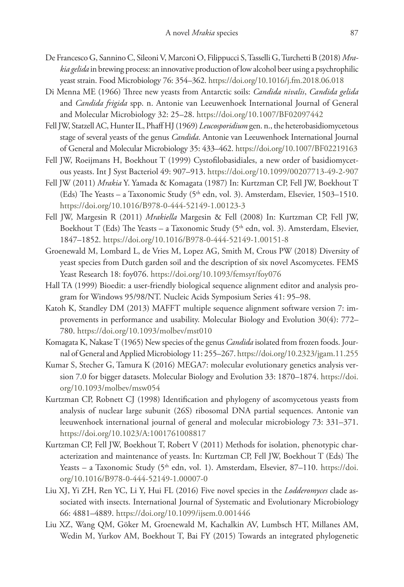- De Francesco G, Sannino C, Sileoni V, Marconi O, Filippucci S, Tasselli G, Turchetti B (2018) *Mrakia gelida* in brewing process: an innovative production of low alcohol beer using a psychrophilic yeast strain. Food Microbiology 76: 354–362. <https://doi.org/10.1016/j.fm.2018.06.018>
- Di Menna ME (1966) Three new yeasts from Antarctic soils: *Candida nivalis*, *Candida gelida* and *Candida frigida* spp. n. Antonie van Leeuwenhoek International Journal of General and Molecular Microbiology 32: 25–28. <https://doi.org/10.1007/BF02097442>
- Fell JW, Statzell AC, Hunter IL, Phaff HJ (1969) *Leucosporidium* gen. n., the heterobasidiomycetous stage of several yeasts of the genus *Candida*. Antonie van Leeuwenhoek International Journal of General and Molecular Microbiology 35: 433–462. <https://doi.org/10.1007/BF02219163>
- Fell JW, Roeijmans H, Boekhout T (1999) Cystofilobasidiales, a new order of basidiomycetous yeasts. Int J Syst Bacteriol 49: 907–913.<https://doi.org/10.1099/00207713-49-2-907>
- Fell JW (2011) *Mrakia* Y. Yamada & Komagata (1987) In: Kurtzman CP, Fell JW, Boekhout T (Eds) The Yeasts – a Taxonomic Study (5<sup>th</sup> edn, vol. 3). Amsterdam, Elsevier, 1503-1510. <https://doi.org/10.1016/B978-0-444-52149-1.00123-3>
- Fell JW, Margesin R (2011) *Mrakiella* Margesin & Fell (2008) In: Kurtzman CP, Fell JW, Boekhout T (Eds) The Yeasts – a Taxonomic Study ( $5<sup>th</sup>$  edn, vol. 3). Amsterdam, Elsevier, 1847–1852.<https://doi.org/10.1016/B978-0-444-52149-1.00151-8>
- Groenewald M, Lombard L, de Vries M, Lopez AG, Smith M, Crous PW (2018) Diversity of yeast species from Dutch garden soil and the description of six novel Ascomycetes. FEMS Yeast Research 18: foy076. <https://doi.org/10.1093/femsyr/foy076>
- Hall TA (1999) Bioedit: a user-friendly biological sequence alignment editor and analysis program for Windows 95/98/NT. Nucleic Acids Symposium Series 41: 95–98.
- Katoh K, Standley DM (2013) MAFFT multiple sequence alignment software version 7: improvements in performance and usability. Molecular Biology and Evolution 30(4): 772– 780.<https://doi.org/10.1093/molbev/mst010>
- Komagata K, Nakase T (1965) New species of the genus *Candida* isolated from frozen foods. Journal of General and Applied Microbiology 11: 255–267.<https://doi.org/10.2323/jgam.11.255>
- Kumar S, Stecher G, Tamura K (2016) MEGA7: molecular evolutionary genetics analysis version 7.0 for bigger datasets. Molecular Biology and Evolution 33: 1870–1874. [https://doi.](https://doi.org/10.1093/molbev/msw054) [org/10.1093/molbev/msw054](https://doi.org/10.1093/molbev/msw054)
- Kurtzman CP, Robnett CJ (1998) Identification and phylogeny of ascomycetous yeasts from analysis of nuclear large subunit (26S) ribosomal DNA partial sequences. Antonie van leeuwenhoek international journal of general and molecular microbiology 73: 331–371. <https://doi.org/10.1023/A:1001761008817>
- Kurtzman CP, Fell JW, Boekhout T, Robert V (2011) Methods for isolation, phenotypic characterization and maintenance of yeasts. In: Kurtzman CP, Fell JW, Boekhout T (Eds) The Yeasts – a Taxonomic Study (5<sup>th</sup> edn, vol. 1). Amsterdam, Elsevier, 87–110. [https://doi.](https://doi.org/10.1016/B978-0-444-52149-1.00007-0) [org/10.1016/B978-0-444-52149-1.00007-0](https://doi.org/10.1016/B978-0-444-52149-1.00007-0)
- Liu XJ, Yi ZH, Ren YC, Li Y, Hui FL (2016) Five novel species in the *Lodderomyces* clade associated with insects. International Journal of Systematic and Evolutionary Microbiology 66: 4881–4889.<https://doi.org/10.1099/ijsem.0.001446>
- Liu XZ, Wang QM, Göker M, Groenewald M, Kachalkin AV, Lumbsch HT, Millanes AM, Wedin M, Yurkov AM, Boekhout T, Bai FY (2015) Towards an integrated phylogenetic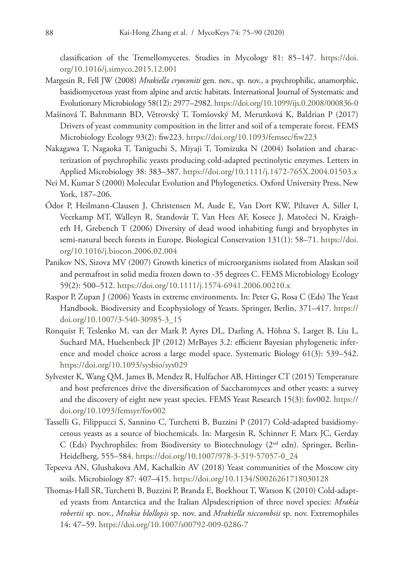classification of the Tremellomycetes. Studies in Mycology 81: 85–147. [https://doi.](https://doi.org/10.1016/j.simyco.2015.12.001) [org/10.1016/j.simyco.2015.12.001](https://doi.org/10.1016/j.simyco.2015.12.001)

- Margesin R, Fell JW (2008) *Mrakiella cryoconiti* gen. nov., sp. nov., a psychrophilic, anamorphic, basidiomycetous yeast from alpine and arctic habitats. International Journal of Systematic and Evolutionary Microbiology 58(12): 2977–2982.<https://doi.org/10.1099/ijs.0.2008/000836-0>
- Mašínová T, Bahnmann BD, Větrovský T, Tomšovský M, Merunková K, Baldrian P (2017) Drivers of yeast community composition in the litter and soil of a temperate forest. FEMS Microbiology Ecology 93(2): fiw223. <https://doi.org/10.1093/femsec/fiw223>
- Nakagawa T, Nagaoka T, Taniguchi S, Miyaji T, Tomizuka N (2004) Isolation and characterization of psychrophilic yeasts producing cold-adapted pectinolytic enzymes. Letters in Applied Microbiology 38: 383–387.<https://doi.org/10.1111/j.1472-765X.2004.01503.x>
- Nei M, Kumar S (2000) Molecular Evolution and Phylogenetics. Oxford University Press, New York, 187–206.
- Ódor P, Heilmann-Clausen J, Christensen M, Aude E, Van Dort KW, Piltaver A, Siller I, Veerkamp MT, Walleyn R, Standovár T, Van Hees AF, Kosece J, Matočeci N, Kraigherh H, Grebench T (2006) Diversity of dead wood inhabiting fungi and bryophytes in semi-natural beech forests in Europe. Biological Conservation 131(1): 58–71. [https://doi.](https://doi.org/10.1016/j.biocon.2006.02.004) [org/10.1016/j.biocon.2006.02.004](https://doi.org/10.1016/j.biocon.2006.02.004)
- Panikov NS, Sizova MV (2007) Growth kinetics of microorganisms isolated from Alaskan soil and permafrost in solid media frozen down to -35 degrees C. FEMS Microbiology Ecology 59(2): 500–512. <https://doi.org/10.1111/j.1574-6941.2006.00210.x>
- Raspor P, Zupan J (2006) Yeasts in extreme environments. In: Peter G, Rosa C (Eds) The Yeast Handbook. Biodiversity and Ecophysiology of Yeasts. Springer, Berlin, 371–417. [https://](https://doi.org/10.1007/3-540-30985-3_15) [doi.org/10.1007/3-540-30985-3\\_15](https://doi.org/10.1007/3-540-30985-3_15)
- Ronquist F, Teslenko M, van der Mark P, Ayres DL, Darling A, Höhna S, Larget B, Liu L, Suchard MA, Huelsenbeck JP (2012) MrBayes 3.2: efficient Bayesian phylogenetic inference and model choice across a large model space. Systematic Biology 61(3): 539–542. <https://doi.org/10.1093/sysbio/sys029>
- Sylvester K, Wang QM, James B, Mendez R, Hulfachor AB, Hittinger CT (2015) Temperature and host preferences drive the diversification of Saccharomyces and other yeasts: a survey and the discovery of eight new yeast species. FEMS Yeast Research 15(3): fov002. [https://](https://doi.org/10.1093/femsyr/fov002) [doi.org/10.1093/femsyr/fov002](https://doi.org/10.1093/femsyr/fov002)
- Tasselli G, Filippucci S, Sannino C, Turchetti B, Buzzini P (2017) Cold-adapted basidiomycetous yeasts as a source of biochemicals. In: Margesin R, Schinner F, Marx JC, Gerday C (Eds) Psychrophiles: from Biodiversity to Biotechnology ( $2<sup>nd</sup>$  edn). Springer, Berlin-Heidelberg, 555–584. [https://doi.org/10.1007/978-3-319-57057-0\\_24](https://doi.org/10.1007/978-3-319-57057-0_24)
- Tepeeva AN, Glushakova AM, Kachalkin AV (2018) Yeast communities of the Moscow city soils. Microbiology 87: 407–415. <https://doi.org/10.1134/S0026261718030128>
- Thomas-Hall SR, Turchetti B, Buzzini P, Branda E, Boekhout T, Watson K (2010) Cold-adapted yeasts from Antarctica and the Italian Alpsdescription of three novel species: *Mrakia robertii* sp. nov., *Mrakia blollopis* sp. nov. and *Mrakiella niccombsii* sp. nov. Extremophiles 14: 47–59.<https://doi.org/10.1007/s00792-009-0286-7>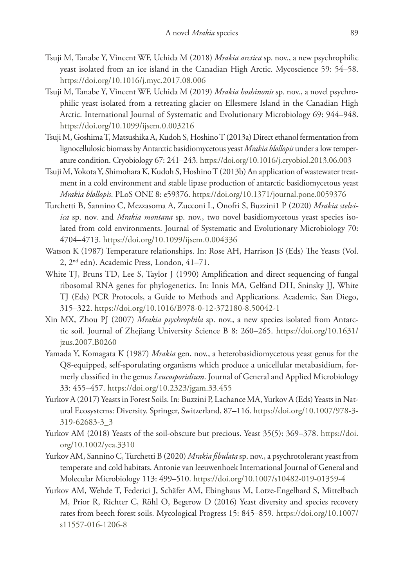- Tsuji M, Tanabe Y, Vincent WF, Uchida M (2018) *Mrakia arctica* sp. nov., a new psychrophilic yeast isolated from an ice island in the Canadian High Arctic. Mycoscience 59: 54–58. <https://doi.org/10.1016/j.myc.2017.08.006>
- Tsuji M, Tanabe Y, Vincent WF, Uchida M (2019) *Mrakia hoshinonis* sp. nov., a novel psychrophilic yeast isolated from a retreating glacier on Ellesmere Island in the Canadian High Arctic. International Journal of Systematic and Evolutionary Microbiology 69: 944–948. <https://doi.org/10.1099/ijsem.0.003216>
- Tsuji M, Goshima T, Matsushika A, Kudoh S, Hoshino T (2013a) Direct ethanol fermentation from lignocellulosic biomass by Antarctic basidiomycetous yeast *Mrakia blollopis* under a low temperature condition. Cryobiology 67: 241–243. <https://doi.org/10.1016/j.cryobiol.2013.06.003>
- Tsuji M, Yokota Y, Shimohara K, Kudoh S, Hoshino T (2013b) An application of wastewater treatment in a cold environment and stable lipase production of antarctic basidiomycetous yeast *Mrakia blollopis*. PLoS ONE 8: e59376.<https://doi.org/10.1371/journal.pone.0059376>
- Turchetti B, Sannino C, Mezzasoma A, Zucconi L, Onofri S, Buzzini1 P (2020) *Mrakia stelviica* sp. nov. and *Mrakia montana* sp. nov., two novel basidiomycetous yeast species isolated from cold environments. Journal of Systematic and Evolutionary Microbiology 70: 4704–4713.<https://doi.org/10.1099/ijsem.0.004336>
- Watson K (1987) Temperature relationships. In: Rose AH, Harrison JS (Eds) The Yeasts (Vol. 2, 2nd edn). Academic Press, London, 41–71.
- White TJ, Bruns TD, Lee S, Taylor J (1990) Amplification and direct sequencing of fungal ribosomal RNA genes for phylogenetics. In: Innis MA, Gelfand DH, Sninsky JJ, White TJ (Eds) PCR Protocols, a Guide to Methods and Applications. Academic, San Diego, 315–322.<https://doi.org/10.1016/B978-0-12-372180-8.50042-1>
- Xin MX, Zhou PJ (2007) *Mrakia psychrophila* sp. nov., a new species isolated from Antarctic soil. Journal of Zhejiang University Science B 8: 260–265. [https://doi.org/10.1631/](https://doi.org/10.1631/jzus.2007.B0260) [jzus.2007.B0260](https://doi.org/10.1631/jzus.2007.B0260)
- Yamada Y, Komagata K (1987) *Mrakia* gen. nov., a heterobasidiomycetous yeast genus for the Q8-equipped, self-sporulating organisms which produce a unicellular metabasidium, formerly classified in the genus *Leucosporidium*. Journal of General and Applied Microbiology 33: 455–457.<https://doi.org/10.2323/jgam.33.455>
- Yurkov A (2017) Yeasts in Forest Soils. In: Buzzini P, Lachance MA, Yurkov A (Eds) Yeasts in Natural Ecosystems: Diversity. Springer, Switzerland, 87–116. [https://doi.org/10.1007/978-3-](https://doi.org/10.1007/978-3-319-62683-3_3) [319-62683-3\\_3](https://doi.org/10.1007/978-3-319-62683-3_3)
- Yurkov AM (2018) Yeasts of the soil-obscure but precious. Yeast 35(5): 369–378. [https://doi.](https://doi.org/10.1002/yea.3310) [org/10.1002/yea.3310](https://doi.org/10.1002/yea.3310)
- Yurkov AM, Sannino C, Turchetti B (2020) *Mrakia fibulata* sp. nov., a psychrotolerant yeast from temperate and cold habitats. Antonie van leeuwenhoek International Journal of General and Molecular Microbiology 113: 499–510.<https://doi.org/10.1007/s10482-019-01359-4>
- Yurkov AM, Wehde T, Federici J, Schäfer AM, Ebinghaus M, Lotze-Engelhard S, Mittelbach M, Prior R, Richter C, Röhl O, Begerow D (2016) Yeast diversity and species recovery rates from beech forest soils. Mycological Progress 15: 845–859. [https://doi.org/10.1007/](https://doi.org/10.1007/s11557-016-1206-8) [s11557-016-1206-8](https://doi.org/10.1007/s11557-016-1206-8)